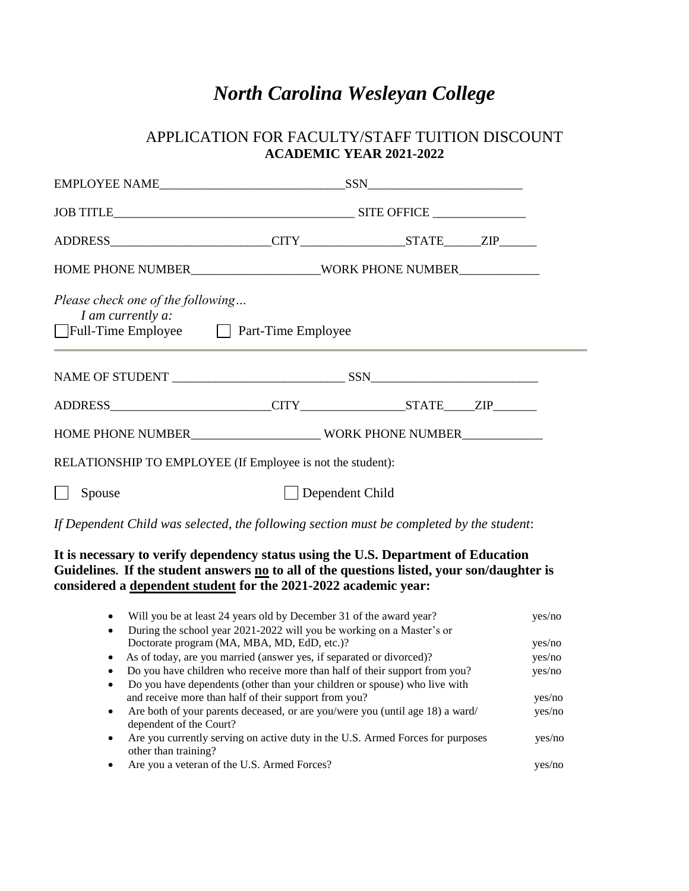# *North Carolina Wesleyan College*

## APPLICATION FOR FACULTY/STAFF TUITION DISCOUNT **ACADEMIC YEAR 2021-2022**

| Please check one of the following<br>I am currently a:<br>Full-Time Employee <u>Part-Time Employee</u> |                                                            |  |  |
|--------------------------------------------------------------------------------------------------------|------------------------------------------------------------|--|--|
|                                                                                                        |                                                            |  |  |
|                                                                                                        |                                                            |  |  |
|                                                                                                        | HOME PHONE NUMBER WORK PHONE NUMBER                        |  |  |
|                                                                                                        | RELATIONSHIP TO EMPLOYEE (If Employee is not the student): |  |  |
| Spouse                                                                                                 | Dependent Child                                            |  |  |

*If Dependent Child was selected, the following section must be completed by the student*:

### **It is necessary to verify dependency status using the U.S. Department of Education Guidelines. If the student answers no to all of the questions listed, your son/daughter is considered a dependent student for the 2021-2022 academic year:**

| Will you be at least 24 years old by December 31 of the award year?<br>$\bullet$                                      | yes/no |
|-----------------------------------------------------------------------------------------------------------------------|--------|
| During the school year 2021-2022 will you be working on a Master's or<br>$\bullet$                                    |        |
| Doctorate program (MA, MBA, MD, EdD, etc.)?                                                                           | yes/no |
| As of today, are you married (answer yes, if separated or divorced)?<br>$\bullet$                                     | yes/no |
| Do you have children who receive more than half of their support from you?                                            | yes/no |
| Do you have dependents (other than your children or spouse) who live with<br>$\bullet$                                |        |
| and receive more than half of their support from you?                                                                 | yes/no |
| Are both of your parents deceased, or are you/were you (until age 18) a ward/<br>$\bullet$<br>dependent of the Court? | yes/no |
| Are you currently serving on active duty in the U.S. Armed Forces for purposes<br>$\bullet$<br>other than training?   | yes/no |
| Are you a veteran of the U.S. Armed Forces?                                                                           |        |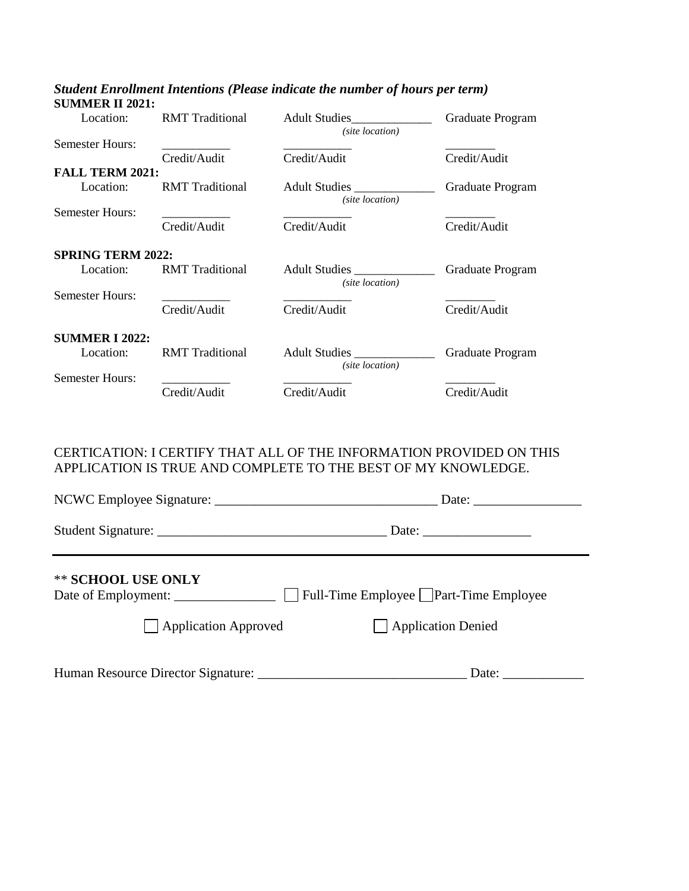| Location:                | <b>RMT</b> Traditional | <b>Adult Studies</b><br>(site location) | Graduate Program |
|--------------------------|------------------------|-----------------------------------------|------------------|
| <b>Semester Hours:</b>   |                        |                                         |                  |
|                          | Credit/Audit           | Credit/Audit                            | Credit/Audit     |
| <b>FALL TERM 2021:</b>   |                        |                                         |                  |
| Location:                | <b>RMT</b> Traditional | Adult Studies<br>(site location)        | Graduate Program |
| <b>Semester Hours:</b>   |                        |                                         |                  |
|                          | Credit/Audit           | Credit/Audit                            | Credit/Audit     |
| <b>SPRING TERM 2022:</b> |                        |                                         |                  |
| Location:                | <b>RMT</b> Traditional | <b>Adult Studies</b><br>(site location) | Graduate Program |
| <b>Semester Hours:</b>   |                        |                                         |                  |
|                          | Credit/Audit           | Credit/Audit                            | Credit/Audit     |
| <b>SUMMER I 2022:</b>    |                        |                                         |                  |
|                          |                        |                                         |                  |
| Location:                | <b>RMT</b> Traditional | Adult Studies<br>(site location)        | Graduate Program |
| <b>Semester Hours:</b>   |                        |                                         |                  |
|                          | Credit/Audit           | Credit/Audit                            | Credit/Audit     |
|                          |                        |                                         |                  |

#### *Student Enrollment Intentions (Please indicate the number of hours per term)* **SUMMER II 2021:**

#### CERTICATION: I CERTIFY THAT ALL OF THE INFORMATION PROVIDED ON THIS APPLICATION IS TRUE AND COMPLETE TO THE BEST OF MY KNOWLEDGE.

|                             | Date: $\frac{1}{\sqrt{1-\frac{1}{2}} \cdot \frac{1}{2}}$ |
|-----------------------------|----------------------------------------------------------|
|                             |                                                          |
| ** SCHOOL USE ONLY          |                                                          |
| $\Box$ Application Approved | $\Box$ Application Denied                                |
|                             | Date: $\_\_\_\_\_\_\_\_\_\_\_$                           |